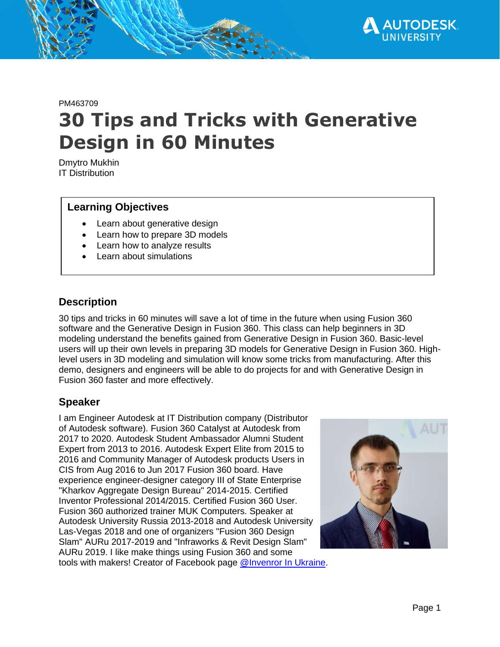

# PM463709 **30 Tips and Tricks with Generative Design in 60 Minutes**

Dmytro Mukhin IT Distribution

### **Learning Objectives**

- Learn about generative design
- Learn how to prepare 3D models
- Learn how to analyze results
- Learn about simulations

## **Description**

30 tips and tricks in 60 minutes will save a lot of time in the future when using Fusion 360 software and the Generative Design in Fusion 360. This class can help beginners in 3D modeling understand the benefits gained from Generative Design in Fusion 360. Basic-level users will up their own levels in preparing 3D models for Generative Design in Fusion 360. Highlevel users in 3D modeling and simulation will know some tricks from manufacturing. After this demo, designers and engineers will be able to do projects for and with Generative Design in Fusion 360 faster and more effectively.

#### **Speaker**

I am Engineer Autodesk at IT Distribution company (Distributor of Autodesk software). Fusion 360 Catalyst at Autodesk from 2017 to 2020. Autodesk Student Ambassador Alumni Student Expert from 2013 to 2016. Autodesk Expert Elite from 2015 to 2016 and Community Manager of Autodesk products Users in CIS from Aug 2016 to Jun 2017 Fusion 360 board. Have experience engineer-designer category III of State Enterprise "Kharkov Aggregate Design Bureau" 2014-2015. Certified Inventor Professional 2014/2015. Certified Fusion 360 User. Fusion 360 authorized trainer MUK Computers. Speaker at Autodesk University Russia 2013-2018 and Autodesk University Las-Vegas 2018 and one of organizers "Fusion 360 Design Slam" AURu 2017-2019 and "Infraworks & Revit Design Slam" AURu 2019. I like make things using Fusion 360 and some tools with makers! Creator of Facebook page [@Invenror](https://www.facebook.com/InventorInUa) In Ukraine.

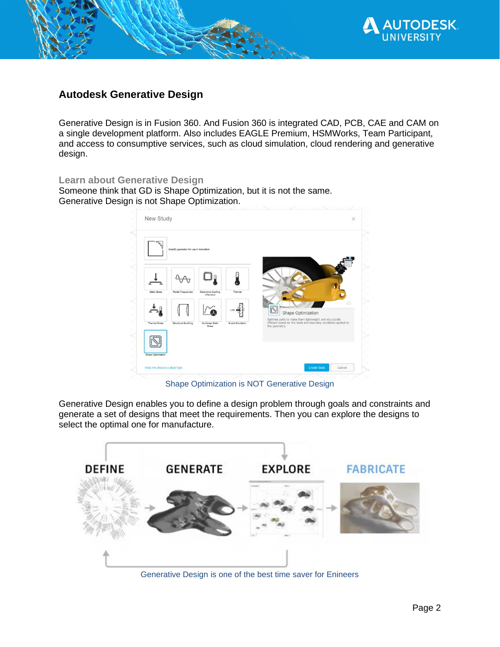

## **Autodesk Generative Design**

Generative Design is in Fusion 360. And Fusion 360 is integrated CAD, PCB, CAE and CAM on a single development platform. Also includes EAGLE Premium, HSMWorks, Team Participant, and access to consumptive services, such as cloud simulation, cloud rendering and generative design.

#### **Learn about Generative Design**

Someone think that GD is Shape Optimization, but it is not the same. Generative Design is not Shape Optimization.

|                       | Simplify geometry for use in Simulation |                                  |                         |               |                                                                                                                                                   |  |
|-----------------------|-----------------------------------------|----------------------------------|-------------------------|---------------|---------------------------------------------------------------------------------------------------------------------------------------------------|--|
|                       |                                         |                                  |                         |               |                                                                                                                                                   |  |
|                       |                                         |                                  |                         |               |                                                                                                                                                   |  |
| Static Stress         | Modal Frequencies                       | Electronics Cooling<br>(Preview) | Thermal                 |               |                                                                                                                                                   |  |
|                       |                                         |                                  |                         |               |                                                                                                                                                   |  |
|                       |                                         |                                  |                         |               | Shape Optimization<br>Optimize parts to make them lightweight and structurally<br>efficient based on the loads and boundary conditions applied to |  |
| <b>Thermal Stress</b> | Structural Buckling                     | Nonlinear Static<br>Stress       | <b>Event Simulation</b> | the geometry. |                                                                                                                                                   |  |
|                       |                                         |                                  |                         |               |                                                                                                                                                   |  |
|                       |                                         |                                  |                         |               |                                                                                                                                                   |  |

Shape Optimization is NOT Generative Design

Generative Design enables you to define a design problem through goals and constraints and generate a set of designs that meet the requirements. Then you can explore the designs to select the optimal one for manufacture.



Generative Design is one of the best time saver for Enineers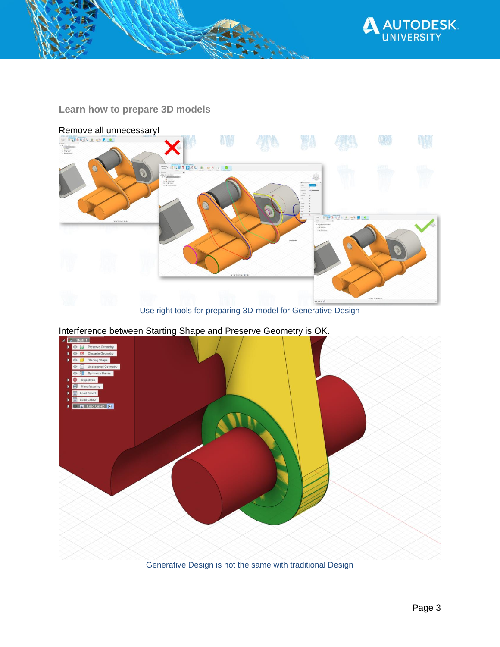

## **Learn how to prepare 3D models**



Use right tools for preparing 3D-model for Generative Design

Interference between Starting Shape and Preserve Geometry is OK.



Generative Design is not the same with traditional Design